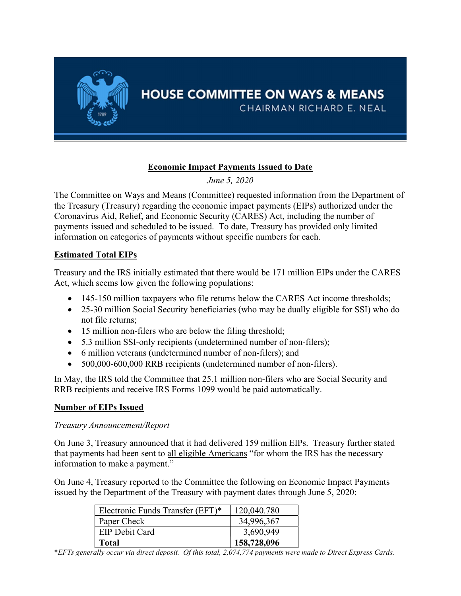

# Economic Impact Payments Issued to Date

June 5, 2020

The Committee on Ways and Means (Committee) requested information from the Department of the Treasury (Treasury) regarding the economic impact payments (EIPs) authorized under the Coronavirus Aid, Relief, and Economic Security (CARES) Act, including the number of payments issued and scheduled to be issued. To date, Treasury has provided only limited information on categories of payments without specific numbers for each.

## Estimated Total EIPs

Treasury and the IRS initially estimated that there would be 171 million EIPs under the CARES Act, which seems low given the following populations:

- 145-150 million taxpayers who file returns below the CARES Act income thresholds;
- 25-30 million Social Security beneficiaries (who may be dually eligible for SSI) who do not file returns;
- 15 million non-filers who are below the filing threshold;
- 5.3 million SSI-only recipients (undetermined number of non-filers);
- 6 million veterans (undetermined number of non-filers); and
- 500,000-600,000 RRB recipients (undetermined number of non-filers).

In May, the IRS told the Committee that 25.1 million non-filers who are Social Security and RRB recipients and receive IRS Forms 1099 would be paid automatically.

### Number of EIPs Issued

### Treasury Announcement/Report

On June 3, Treasury announced that it had delivered 159 million EIPs. Treasury further stated that payments had been sent to all eligible Americans "for whom the IRS has the necessary information to make a payment."

On June 4, Treasury reported to the Committee the following on Economic Impact Payments issued by the Department of the Treasury with payment dates through June 5, 2020:

| Electronic Funds Transfer (EFT)* | 120,040.780 |
|----------------------------------|-------------|
| Paper Check                      | 34,996,367  |
| <b>EIP Debit Card</b>            | 3,690,949   |
| <b>Total</b>                     | 158,728,096 |

\*EFTs generally occur via direct deposit. Of this total, 2,074,774 payments were made to Direct Express Cards.